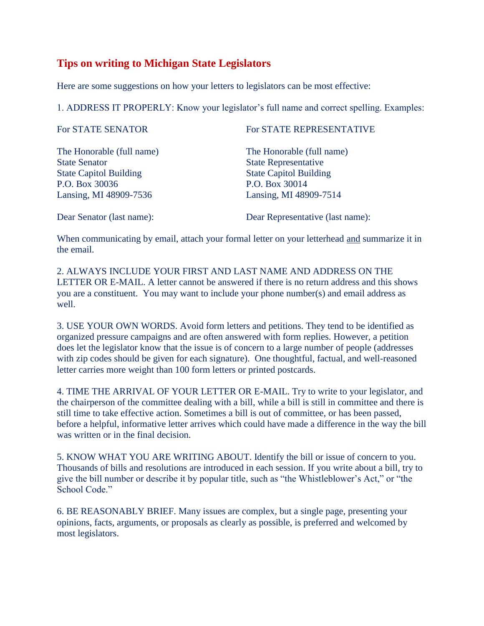## **Tips on writing to Michigan State Legislators**

Here are some suggestions on how your letters to legislators can be most effective:

1. ADDRESS IT PROPERLY: Know your legislator's full name and correct spelling. Examples:

| For STATE SENATOR             | For STATE REPRESENTATIVE         |
|-------------------------------|----------------------------------|
| The Honorable (full name)     | The Honorable (full name)        |
| <b>State Senator</b>          | <b>State Representative</b>      |
| <b>State Capitol Building</b> | <b>State Capitol Building</b>    |
| P.O. Box 30036                | P.O. Box 30014                   |
| Lansing, MI 48909-7536        | Lansing, MI 48909-7514           |
| Dear Senator (last name):     | Dear Representative (last name): |

When communicating by email, attach your formal letter on your letterhead and summarize it in the email.

2. ALWAYS INCLUDE YOUR FIRST AND LAST NAME AND ADDRESS ON THE LETTER OR E-MAIL. A letter cannot be answered if there is no return address and this shows you are a constituent. You may want to include your phone number(s) and email address as well.

3. USE YOUR OWN WORDS. Avoid form letters and petitions. They tend to be identified as organized pressure campaigns and are often answered with form replies. However, a petition does let the legislator know that the issue is of concern to a large number of people (addresses with zip codes should be given for each signature). One thoughtful, factual, and well-reasoned letter carries more weight than 100 form letters or printed postcards.

4. TIME THE ARRIVAL OF YOUR LETTER OR E-MAIL. Try to write to your legislator, and the chairperson of the committee dealing with a bill, while a bill is still in committee and there is still time to take effective action. Sometimes a bill is out of committee, or has been passed, before a helpful, informative letter arrives which could have made a difference in the way the bill was written or in the final decision.

5. KNOW WHAT YOU ARE WRITING ABOUT. Identify the bill or issue of concern to you. Thousands of bills and resolutions are introduced in each session. If you write about a bill, try to give the bill number or describe it by popular title, such as "the Whistleblower's Act," or "the School Code."

6. BE REASONABLY BRIEF. Many issues are complex, but a single page, presenting your opinions, facts, arguments, or proposals as clearly as possible, is preferred and welcomed by most legislators.